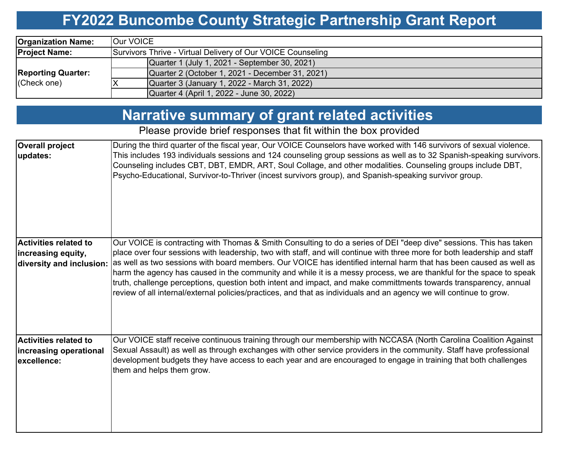#### **FY2022 Buncombe County Strategic Partnership Grant Report**

| <b>Organization Name:</b>                | <b>Our VOICE</b>                                            |  |  |  |  |  |  |
|------------------------------------------|-------------------------------------------------------------|--|--|--|--|--|--|
| <b>Project Name:</b>                     | Survivors Thrive - Virtual Delivery of Our VOICE Counseling |  |  |  |  |  |  |
| <b>Reporting Quarter:</b><br>(Check one) | Quarter 1 (July 1, 2021 - September 30, 2021)               |  |  |  |  |  |  |
|                                          | Quarter 2 (October 1, 2021 - December 31, 2021)             |  |  |  |  |  |  |
|                                          | Quarter 3 (January 1, 2022 - March 31, 2022)                |  |  |  |  |  |  |
|                                          | Quarter 4 (April 1, 2022 - June 30, 2022)                   |  |  |  |  |  |  |

### **Narrative summary of grant related activities**

Please provide brief responses that fit within the box provided

| <b>Overall project</b><br>updates:                                             | During the third quarter of the fiscal year, Our VOICE Counselors have worked with 146 survivors of sexual violence.<br>This includes 193 individuals sessions and 124 counseling group sessions as well as to 32 Spanish-speaking survivors.<br>Counseling includes CBT, DBT, EMDR, ART, Soul Collage, and other modalities. Counseling groups include DBT,<br>Psycho-Educational, Survivor-to-Thriver (incest survivors group), and Spanish-speaking survivor group.                                                                                                                                                                                                                                                                   |
|--------------------------------------------------------------------------------|------------------------------------------------------------------------------------------------------------------------------------------------------------------------------------------------------------------------------------------------------------------------------------------------------------------------------------------------------------------------------------------------------------------------------------------------------------------------------------------------------------------------------------------------------------------------------------------------------------------------------------------------------------------------------------------------------------------------------------------|
| <b>Activities related to</b><br>increasing equity,<br>diversity and inclusion: | Our VOICE is contracting with Thomas & Smith Consulting to do a series of DEI "deep dive" sessions. This has taken<br>place over four sessions with leadership, two with staff, and will continue with three more for both leadership and staff<br>as well as two sessions with board members. Our VOICE has identified internal harm that has been caused as well as<br>harm the agency has caused in the community and while it is a messy process, we are thankful for the space to speak<br>truth, challenge perceptions, question both intent and impact, and make committments towards transparency, annual<br>review of all internal/external policies/practices, and that as individuals and an agency we will continue to grow. |
| <b>Activities related to</b><br>increasing operational<br>excellence:          | Our VOICE staff receive continuous training through our membership with NCCASA (North Carolina Coalition Against<br>Sexual Assault) as well as through exchanges with other service providers in the community. Staff have professional<br>development budgets they have access to each year and are encouraged to engage in training that both challenges<br>them and helps them grow.                                                                                                                                                                                                                                                                                                                                                  |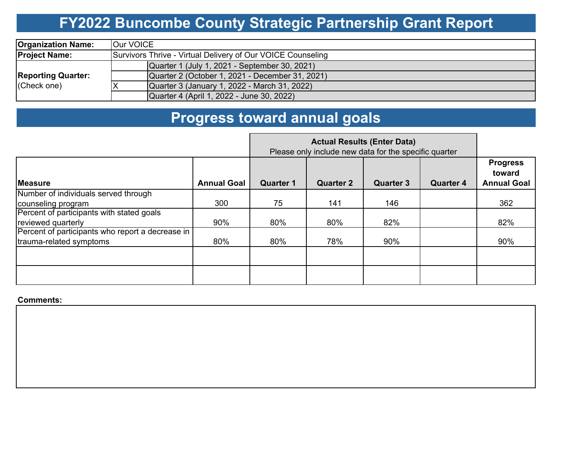# **FY2022 Buncombe County Strategic Partnership Grant Report**

| <b>Organization Name:</b>                | <b>Our VOICE</b>                                            |  |  |  |  |  |  |  |
|------------------------------------------|-------------------------------------------------------------|--|--|--|--|--|--|--|
| <b>Project Name:</b>                     | Survivors Thrive - Virtual Delivery of Our VOICE Counseling |  |  |  |  |  |  |  |
| <b>Reporting Quarter:</b><br>(Check one) | Quarter 1 (July 1, 2021 - September 30, 2021)               |  |  |  |  |  |  |  |
|                                          | Quarter 2 (October 1, 2021 - December 31, 2021)             |  |  |  |  |  |  |  |
|                                          | Quarter 3 (January 1, 2022 - March 31, 2022)                |  |  |  |  |  |  |  |
|                                          | Quarter 4 (April 1, 2022 - June 30, 2022)                   |  |  |  |  |  |  |  |

# **Progress toward annual goals**

|                                                  | Please only include new data for the specific quarter |                  |                  |                  |                  |                                                 |
|--------------------------------------------------|-------------------------------------------------------|------------------|------------------|------------------|------------------|-------------------------------------------------|
| <b>IMeasure</b>                                  | <b>Annual Goal</b>                                    | <b>Quarter 1</b> | <b>Quarter 2</b> | <b>Quarter 3</b> | <b>Quarter 4</b> | <b>Progress</b><br>toward<br><b>Annual Goal</b> |
| Number of individuals served through             |                                                       |                  |                  |                  |                  |                                                 |
| counseling program                               | 300                                                   | 75               | 141              | 146              |                  | 362                                             |
| Percent of participants with stated goals        |                                                       |                  |                  |                  |                  |                                                 |
| reviewed quarterly                               | 90%                                                   | 80%              | 80%              | 82%              |                  | 82%                                             |
| Percent of participants who report a decrease in |                                                       |                  |                  |                  |                  |                                                 |
| trauma-related symptoms                          | 80%                                                   | 80%              | 78%              | 90%              |                  | 90%                                             |
|                                                  |                                                       |                  |                  |                  |                  |                                                 |
|                                                  |                                                       |                  |                  |                  |                  |                                                 |

#### **Comments:**